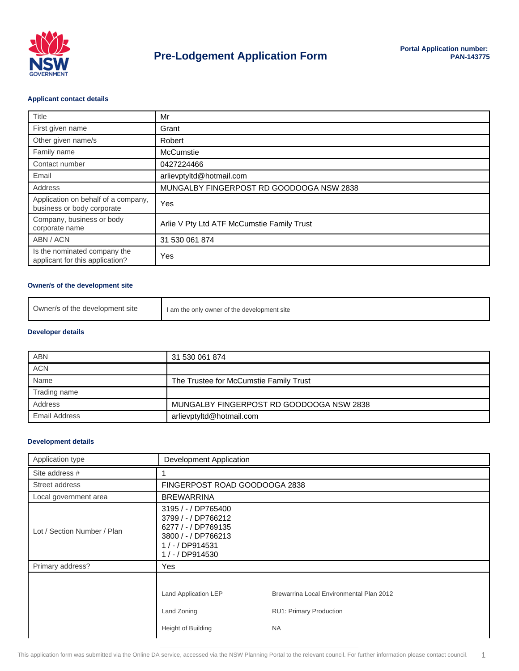

#### **Applicant contact details**

| Title                                                             | Mr                                         |
|-------------------------------------------------------------------|--------------------------------------------|
| First given name                                                  | Grant                                      |
| Other given name/s                                                | Robert                                     |
| Family name                                                       | <b>McCumstie</b>                           |
| Contact number                                                    | 0427224466                                 |
| Email                                                             | arlievptyltd@hotmail.com                   |
| Address                                                           | MUNGALBY FINGERPOST RD GOODOOGA NSW 2838   |
| Application on behalf of a company,<br>business or body corporate | Yes                                        |
| Company, business or body<br>corporate name                       | Arlie V Pty Ltd ATF McCumstie Family Trust |
| ABN / ACN                                                         | 31 530 061 874                             |
| Is the nominated company the<br>applicant for this application?   | Yes                                        |

#### **Owner/s of the development site**

| Owner/s of the development site | I am the only owner of the development site |
|---------------------------------|---------------------------------------------|
|---------------------------------|---------------------------------------------|

#### **Developer details**

| <b>ABN</b>    | 31 530 061 874                           |
|---------------|------------------------------------------|
| <b>ACN</b>    |                                          |
| Name          | The Trustee for McCumstie Family Trust   |
| Trading name  |                                          |
| Address       | MUNGALBY FINGERPOST RD GOODOOGA NSW 2838 |
| Email Address | arlievptyltd@hotmail.com                 |

## **Development details**

| Application type            | <b>Development Application</b>                                                                                                     |                                                                                  |  |
|-----------------------------|------------------------------------------------------------------------------------------------------------------------------------|----------------------------------------------------------------------------------|--|
| Site address #              |                                                                                                                                    |                                                                                  |  |
| Street address              |                                                                                                                                    | FINGERPOST ROAD GOODOOGA 2838                                                    |  |
| Local government area       | <b>BREWARRINA</b>                                                                                                                  |                                                                                  |  |
| Lot / Section Number / Plan | 3195 / - / DP765400<br>3799 / - / DP766212<br>6277 / - / DP769135<br>3800 / - / DP766213<br>$1 / - / DP914531$<br>1 / - / DP914530 |                                                                                  |  |
| Primary address?            | Yes                                                                                                                                |                                                                                  |  |
|                             | Land Application LEP<br>Land Zoning<br>Height of Building                                                                          | Brewarrina Local Environmental Plan 2012<br>RU1: Primary Production<br><b>NA</b> |  |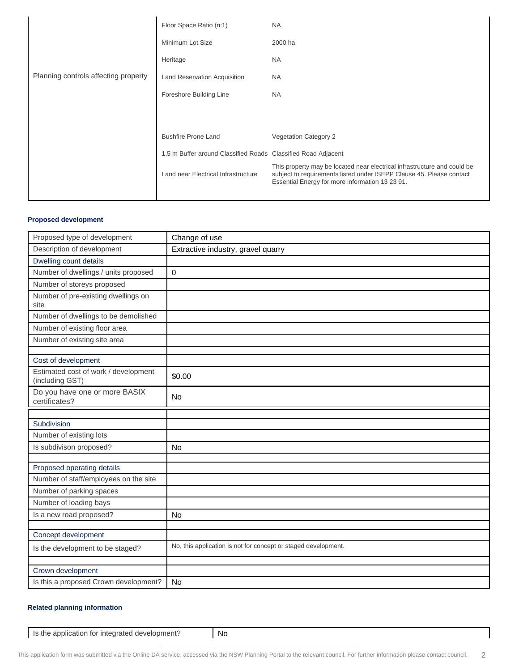|                                      | Floor Space Ratio (n:1)                                       | <b>NA</b>                                                                                                                                                                                           |
|--------------------------------------|---------------------------------------------------------------|-----------------------------------------------------------------------------------------------------------------------------------------------------------------------------------------------------|
|                                      | Minimum Lot Size                                              | 2000 ha                                                                                                                                                                                             |
|                                      | Heritage                                                      | NA.                                                                                                                                                                                                 |
| Planning controls affecting property | Land Reservation Acquisition                                  | NA                                                                                                                                                                                                  |
|                                      | Foreshore Building Line                                       | <b>NA</b>                                                                                                                                                                                           |
|                                      |                                                               |                                                                                                                                                                                                     |
|                                      | <b>Bushfire Prone Land</b>                                    | <b>Vegetation Category 2</b>                                                                                                                                                                        |
|                                      | 1.5 m Buffer around Classified Roads Classified Road Adjacent |                                                                                                                                                                                                     |
|                                      | Land near Electrical Infrastructure                           | This property may be located near electrical infrastructure and could be<br>subject to requirements listed under ISEPP Clause 45. Please contact<br>Essential Energy for more information 13 23 91. |
|                                      |                                                               |                                                                                                                                                                                                     |

## **Proposed development**

| Proposed type of development                            | Change of use                                                  |
|---------------------------------------------------------|----------------------------------------------------------------|
| Description of development                              | Extractive industry, gravel quarry                             |
| Dwelling count details                                  |                                                                |
| Number of dwellings / units proposed                    | $\mathbf 0$                                                    |
| Number of storeys proposed                              |                                                                |
| Number of pre-existing dwellings on<br>site             |                                                                |
| Number of dwellings to be demolished                    |                                                                |
| Number of existing floor area                           |                                                                |
| Number of existing site area                            |                                                                |
|                                                         |                                                                |
| Cost of development                                     |                                                                |
| Estimated cost of work / development<br>(including GST) | \$0.00                                                         |
| Do you have one or more BASIX<br>certificates?          | <b>No</b>                                                      |
|                                                         |                                                                |
| Subdivision                                             |                                                                |
| Number of existing lots                                 |                                                                |
| Is subdivison proposed?                                 | <b>No</b>                                                      |
|                                                         |                                                                |
| Proposed operating details                              |                                                                |
| Number of staff/employees on the site                   |                                                                |
| Number of parking spaces                                |                                                                |
| Number of loading bays                                  |                                                                |
| Is a new road proposed?                                 | <b>No</b>                                                      |
| Concept development                                     |                                                                |
|                                                         | No, this application is not for concept or staged development. |
| Is the development to be staged?                        |                                                                |
| Crown development                                       |                                                                |
| Is this a proposed Crown development?                   | <b>No</b>                                                      |
|                                                         |                                                                |

## **Related planning information**

Is the application for integrated development? No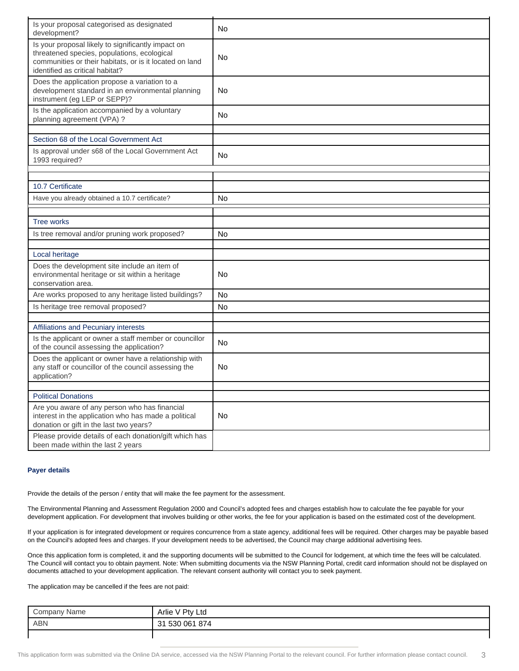| Is your proposal categorised as designated<br>development?                                                                                                                                      | No |
|-------------------------------------------------------------------------------------------------------------------------------------------------------------------------------------------------|----|
| Is your proposal likely to significantly impact on<br>threatened species, populations, ecological<br>communities or their habitats, or is it located on land<br>identified as critical habitat? | No |
| Does the application propose a variation to a<br>development standard in an environmental planning<br>instrument (eg LEP or SEPP)?                                                              | No |
| Is the application accompanied by a voluntary<br>planning agreement (VPA) ?                                                                                                                     | No |
| Section 68 of the Local Government Act                                                                                                                                                          |    |
| Is approval under s68 of the Local Government Act<br>1993 required?                                                                                                                             | No |
|                                                                                                                                                                                                 |    |
| 10.7 Certificate                                                                                                                                                                                |    |
| Have you already obtained a 10.7 certificate?                                                                                                                                                   | No |
|                                                                                                                                                                                                 |    |
| <b>Tree works</b>                                                                                                                                                                               |    |
| Is tree removal and/or pruning work proposed?                                                                                                                                                   | No |
|                                                                                                                                                                                                 |    |
| Local heritage                                                                                                                                                                                  |    |
| Does the development site include an item of<br>environmental heritage or sit within a heritage<br>conservation area.                                                                           | No |
| Are works proposed to any heritage listed buildings?                                                                                                                                            | No |
| Is heritage tree removal proposed?                                                                                                                                                              | No |
|                                                                                                                                                                                                 |    |
| Affiliations and Pecuniary interests                                                                                                                                                            |    |
| Is the applicant or owner a staff member or councillor<br>of the council assessing the application?                                                                                             | No |
| Does the applicant or owner have a relationship with<br>any staff or councillor of the council assessing the<br>application?                                                                    | No |
|                                                                                                                                                                                                 |    |
| <b>Political Donations</b><br>Are you aware of any person who has financial                                                                                                                     |    |
| interest in the application who has made a political<br>donation or gift in the last two years?                                                                                                 | No |
| Please provide details of each donation/gift which has<br>been made within the last 2 years                                                                                                     |    |

#### **Payer details**

Provide the details of the person / entity that will make the fee payment for the assessment.

The Environmental Planning and Assessment Regulation 2000 and Council's adopted fees and charges establish how to calculate the fee payable for your development application. For development that involves building or other works, the fee for your application is based on the estimated cost of the development.

If your application is for integrated development or requires concurrence from a state agency, additional fees will be required. Other charges may be payable based on the Council's adopted fees and charges. If your development needs to be advertised, the Council may charge additional advertising fees.

Once this application form is completed, it and the supporting documents will be submitted to the Council for lodgement, at which time the fees will be calculated. The Council will contact you to obtain payment. Note: When submitting documents via the NSW Planning Portal, credit card information should not be displayed on documents attached to your development application. The relevant consent authority will contact you to seek payment.

The application may be cancelled if the fees are not paid:

| Name<br>;ompanv | Ptv<br>Arlie<br>Ltd<br>$\mathbf{v}$ |
|-----------------|-------------------------------------|
| <b>ABN</b>      | 874<br>. 530 061<br>ີ               |
|                 |                                     |